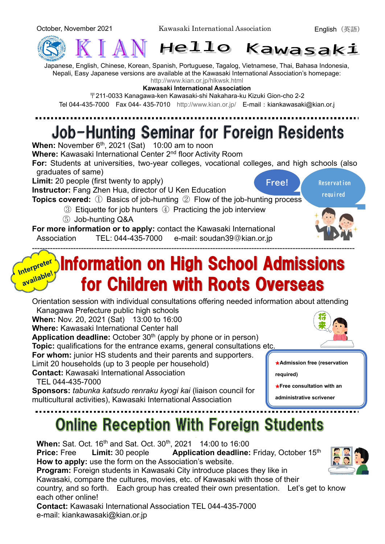

Japanese, English, Chinese, Korean, Spanish, Portuguese, Tagalog, Vietnamese, Thai, Bahasa Indonesia, Nepali, Easy Japanese versions are available at the Kawasaki International Association's homepage: <http://www.kian.or.jp/hlkwsk.html>

**Kawasaki International Association**

〒211-0033 Kanagawa-ken Kawasaki-shi Nakahara-ku Kizuki Gion-cho 2-2

### Tel 044-435-7000 Fax 044-435-7010 <http://www.kian.or.jp/> E-mail: kiankawasaki@kian.or.j

## Job-Hunting Seminar for Foreign Residents

**When:** November 6<sup>th</sup>, 2021 (Sat) 10:00 am to noon

**Where:** Kawasaki International Center 2nd floor Activity Room

**For:** Students at universities, two-year colleges, vocational colleges, and high schools (also graduates of same)

**Limit:** 20 people (first twenty to apply)

**Instructor:** Fang Zhen Hua, director of U Ken Education

**Free! Reservation** 

**required**

**Topics covered:** ① Basics of job-hunting ② Flow of the job-hunting process

- ③ Etiquette for job hunters ④ Practicing the job interview
- ⑤ Job-hunting Q&A

**For more information or to apply:** contact the Kawasaki International Association TEL: 044-435-7000 e-mail: soudan39@kian.or.jp

#### ----------------------------------------------------------------------------------------------------------------------------- Information on High School Admissions Interpreter nter Priple! for Children with Roots Overseas

Orientation session with individual consultations offering needed information about attending Kanagawa Prefecture public high schools

**When:** Nov. 20, 2021 (Sat) 13:00 to 16:00 **Where:** Kawasaki International Center hall

**Application deadline:** October 30<sup>th</sup> (apply by phone or in person)

**Topic:** qualifications for the entrance exams, general consultations etc.

**For whom:** junior HS students and their parents and supporters.

Limit 20 households (up to 3 people per household)

**Contact:** Kawasaki International Association

TEL 044-435-7000

**Sponsors:** *tabunka katsudo renraku kyogi kai* (liaison council for multicultural activities), Kawasaki International Association

# **Online Reception With Foreign Students**

**When:** Sat. Oct. 16<sup>th</sup> and Sat. Oct. 30<sup>th</sup>, 2021 14:00 to 16:00 **Price:** Free **Limit:** 30 people **Application deadline:** Friday, October 15<sup>th</sup> **How to apply:** use the form on the Association's website. **Program:** Foreign students in Kawasaki City introduce places they like in Kawasaki, compare the cultures, movies, etc. of Kawasaki with those of their country, and so forth. Each group has created their own presentation. Let's get to know each other online! **Contact:** Kawasaki International Association TEL 044-435-7000 e-mail: kiankawasaki@kian.or.jp



★**Admission free (reservation** 

★**Free consultation with an administrative scrivener** 

**required)**

**available**